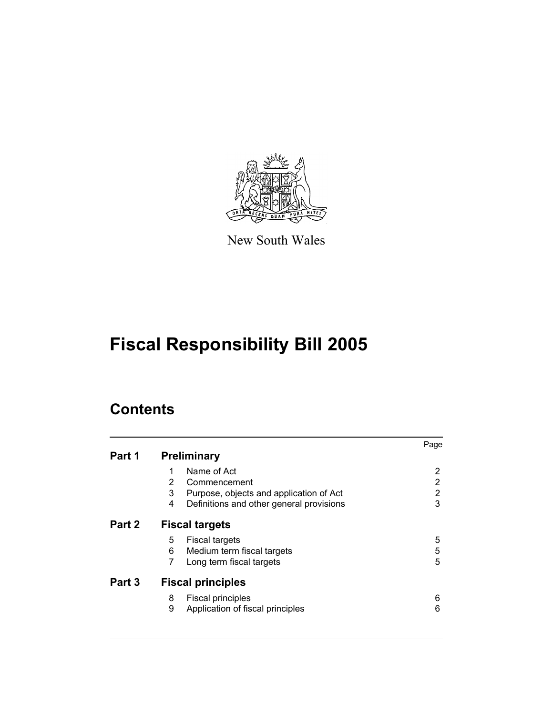

New South Wales

# **Fiscal Responsibility Bill 2005**

## **Contents**

| Part 1 | <b>Preliminary</b>                                                                             | Page        |  |
|--------|------------------------------------------------------------------------------------------------|-------------|--|
|        | Name of Act<br>1<br>2<br>Commencement                                                          | 2<br>2      |  |
|        | 3<br>Purpose, objects and application of Act<br>4<br>Definitions and other general provisions  | 2<br>3      |  |
| Part 2 | <b>Fiscal targets</b>                                                                          |             |  |
|        | 5<br><b>Fiscal targets</b><br>6<br>Medium term fiscal targets<br>7<br>Long term fiscal targets | 5<br>5<br>5 |  |
| Part 3 | <b>Fiscal principles</b>                                                                       |             |  |
|        | 8<br><b>Fiscal principles</b><br>9<br>Application of fiscal principles                         | 6<br>6      |  |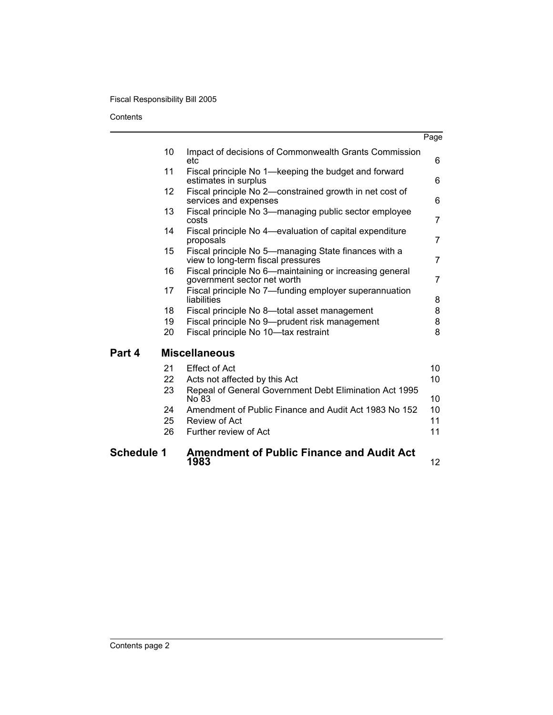### Fiscal Responsibility Bill 2005

**Contents** 

| <b>Schedule 1</b> |          | <b>Amendment of Public Finance and Audit Act</b><br>1983                                   | 12             |
|-------------------|----------|--------------------------------------------------------------------------------------------|----------------|
|                   | 26       | Further review of Act                                                                      | 11             |
|                   | 25       | Review of Act                                                                              | 11             |
|                   | 24       | Amendment of Public Finance and Audit Act 1983 No 152                                      | 10             |
|                   | 23       | Repeal of General Government Debt Elimination Act 1995<br>No 83                            | 10             |
|                   | 21<br>22 | <b>Effect of Act</b><br>Acts not affected by this Act                                      | 10<br>10       |
| Part 4            |          | <b>Miscellaneous</b>                                                                       |                |
|                   | 20       | Fiscal principle No 10-tax restraint                                                       | 8              |
|                   | 19       | Fiscal principle No 9-prudent risk management                                              | 8              |
|                   | 18       | Fiscal principle No 8-total asset management                                               | 8              |
|                   | 17       | Fiscal principle No 7—funding employer superannuation<br>liabilities                       | 8              |
|                   | 16       | Fiscal principle No 6—maintaining or increasing general<br>government sector net worth     | 7              |
|                   | 15       | Fiscal principle No 5-managing State finances with a<br>view to long-term fiscal pressures | $\overline{7}$ |
|                   | 14       | Fiscal principle No 4—evaluation of capital expenditure<br>proposals                       | $\overline{7}$ |
|                   | 13       | Fiscal principle No 3-managing public sector employee<br>costs                             | 7              |
|                   | 12       | Fiscal principle No 2-constrained growth in net cost of<br>services and expenses           | 6              |
|                   | 11       | Fiscal principle No 1-keeping the budget and forward<br>estimates in surplus               | 6              |
|                   | 10       | Impact of decisions of Commonwealth Grants Commission<br>etc                               | 6              |
|                   |          |                                                                                            | Page           |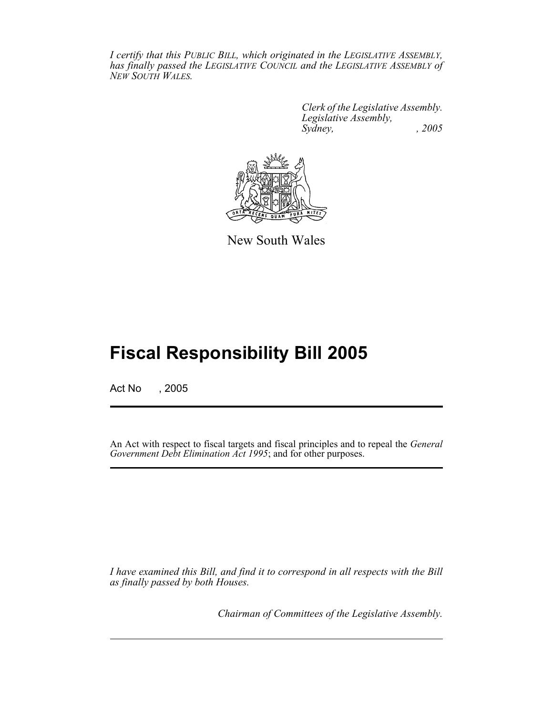*I certify that this PUBLIC BILL, which originated in the LEGISLATIVE ASSEMBLY, has finally passed the LEGISLATIVE COUNCIL and the LEGISLATIVE ASSEMBLY of NEW SOUTH WALES.*

> *Clerk of the Legislative Assembly. Legislative Assembly, Sydney, , 2005*



New South Wales

## **Fiscal Responsibility Bill 2005**

Act No , 2005

An Act with respect to fiscal targets and fiscal principles and to repeal the *General Government Debt Elimination Act 1995*; and for other purposes.

*I have examined this Bill, and find it to correspond in all respects with the Bill as finally passed by both Houses.*

*Chairman of Committees of the Legislative Assembly.*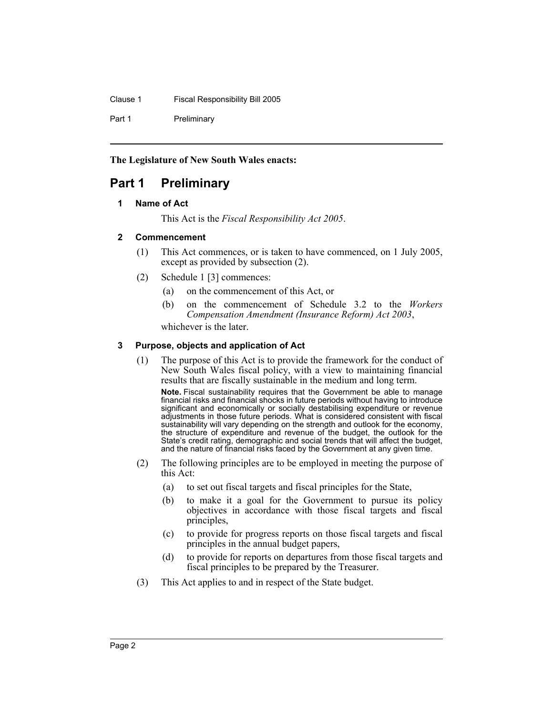Clause 1 Fiscal Responsibility Bill 2005

Part 1 Preliminary

**The Legislature of New South Wales enacts:**

## **Part 1 Preliminary**

#### **1 Name of Act**

This Act is the *Fiscal Responsibility Act 2005*.

#### **2 Commencement**

- (1) This Act commences, or is taken to have commenced, on 1 July 2005, except as provided by subsection (2).
- (2) Schedule 1 [3] commences:
	- (a) on the commencement of this Act, or
	- (b) on the commencement of Schedule 3.2 to the *Workers Compensation Amendment (Insurance Reform) Act 2003*,

whichever is the later.

#### **3 Purpose, objects and application of Act**

(1) The purpose of this Act is to provide the framework for the conduct of New South Wales fiscal policy, with a view to maintaining financial results that are fiscally sustainable in the medium and long term.

**Note.** Fiscal sustainability requires that the Government be able to manage financial risks and financial shocks in future periods without having to introduce significant and economically or socially destabilising expenditure or revenue adjustments in those future periods. What is considered consistent with fiscal sustainability will vary depending on the strength and outlook for the economy, the structure of expenditure and revenue of the budget, the outlook for the State's credit rating, demographic and social trends that will affect the budget, and the nature of financial risks faced by the Government at any given time.

- (2) The following principles are to be employed in meeting the purpose of this Act:
	- (a) to set out fiscal targets and fiscal principles for the State,
	- (b) to make it a goal for the Government to pursue its policy objectives in accordance with those fiscal targets and fiscal principles,
	- (c) to provide for progress reports on those fiscal targets and fiscal principles in the annual budget papers,
	- (d) to provide for reports on departures from those fiscal targets and fiscal principles to be prepared by the Treasurer.
- (3) This Act applies to and in respect of the State budget.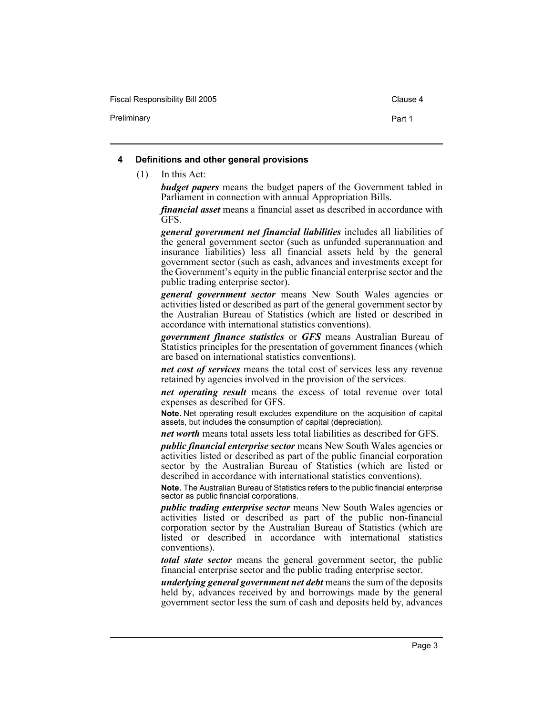Fiscal Responsibility Bill 2005 Clause 4

Preliminary **Preliminary Preliminary Part 1** 

#### **4 Definitions and other general provisions**

(1) In this Act:

*budget papers* means the budget papers of the Government tabled in Parliament in connection with annual Appropriation Bills.

*financial asset* means a financial asset as described in accordance with GFS.

*general government net financial liabilities* includes all liabilities of the general government sector (such as unfunded superannuation and insurance liabilities) less all financial assets held by the general government sector (such as cash, advances and investments except for the Government's equity in the public financial enterprise sector and the public trading enterprise sector).

*general government sector* means New South Wales agencies or activities listed or described as part of the general government sector by the Australian Bureau of Statistics (which are listed or described in accordance with international statistics conventions).

*government finance statistics* or *GFS* means Australian Bureau of Statistics principles for the presentation of government finances (which are based on international statistics conventions).

*net cost of services* means the total cost of services less any revenue retained by agencies involved in the provision of the services.

*net operating result* means the excess of total revenue over total expenses as described for GFS.

**Note.** Net operating result excludes expenditure on the acquisition of capital assets, but includes the consumption of capital (depreciation).

*net worth* means total assets less total liabilities as described for GFS.

*public financial enterprise sector* means New South Wales agencies or activities listed or described as part of the public financial corporation sector by the Australian Bureau of Statistics (which are listed or described in accordance with international statistics conventions).

**Note.** The Australian Bureau of Statistics refers to the public financial enterprise sector as public financial corporations.

*public trading enterprise sector* means New South Wales agencies or activities listed or described as part of the public non-financial corporation sector by the Australian Bureau of Statistics (which are listed or described in accordance with international statistics conventions).

*total state sector* means the general government sector, the public financial enterprise sector and the public trading enterprise sector.

*underlying general government net debt* means the sum of the deposits held by, advances received by and borrowings made by the general government sector less the sum of cash and deposits held by, advances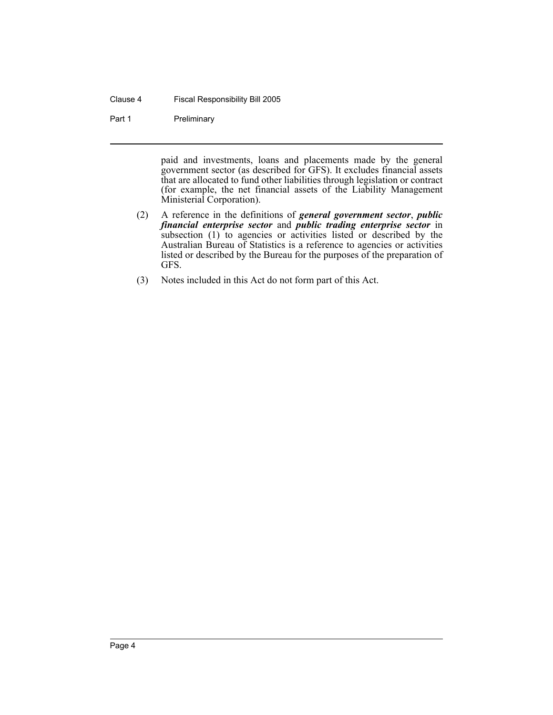#### Clause 4 Fiscal Responsibility Bill 2005

#### Part 1 Preliminary

paid and investments, loans and placements made by the general government sector (as described for GFS). It excludes financial assets that are allocated to fund other liabilities through legislation or contract (for example, the net financial assets of the Liability Management Ministerial Corporation).

- (2) A reference in the definitions of *general government sector*, *public financial enterprise sector* and *public trading enterprise sector* in subsection (1) to agencies or activities listed or described by the Australian Bureau of Statistics is a reference to agencies or activities listed or described by the Bureau for the purposes of the preparation of GFS.
- (3) Notes included in this Act do not form part of this Act.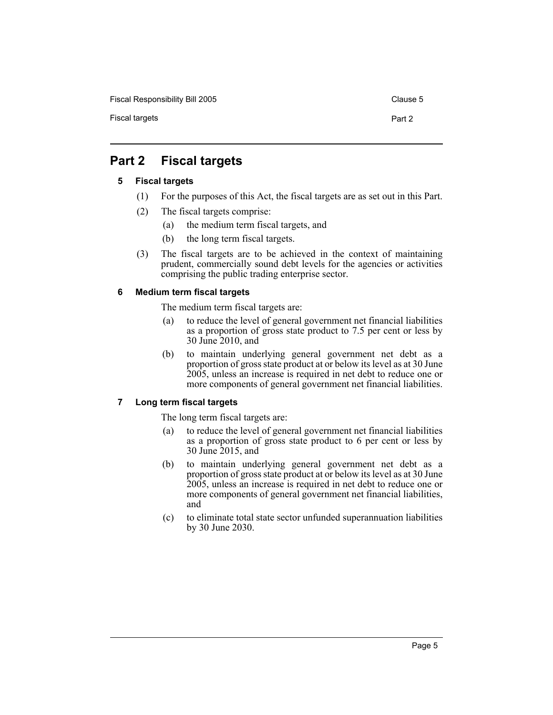Fiscal Responsibility Bill 2005 Clause 5

## **Part 2 Fiscal targets**

#### **5 Fiscal targets**

- (1) For the purposes of this Act, the fiscal targets are as set out in this Part.
- (2) The fiscal targets comprise:
	- (a) the medium term fiscal targets, and
	- (b) the long term fiscal targets.
- (3) The fiscal targets are to be achieved in the context of maintaining prudent, commercially sound debt levels for the agencies or activities comprising the public trading enterprise sector.

#### **6 Medium term fiscal targets**

The medium term fiscal targets are:

- (a) to reduce the level of general government net financial liabilities as a proportion of gross state product to 7.5 per cent or less by 30 June 2010, and
- (b) to maintain underlying general government net debt as a proportion of gross state product at or below its level as at 30 June 2005, unless an increase is required in net debt to reduce one or more components of general government net financial liabilities.

#### **7 Long term fiscal targets**

The long term fiscal targets are:

- (a) to reduce the level of general government net financial liabilities as a proportion of gross state product to 6 per cent or less by 30 June 2015, and
- (b) to maintain underlying general government net debt as a proportion of gross state product at or below its level as at 30 June 2005, unless an increase is required in net debt to reduce one or more components of general government net financial liabilities, and
- (c) to eliminate total state sector unfunded superannuation liabilities by 30 June 2030.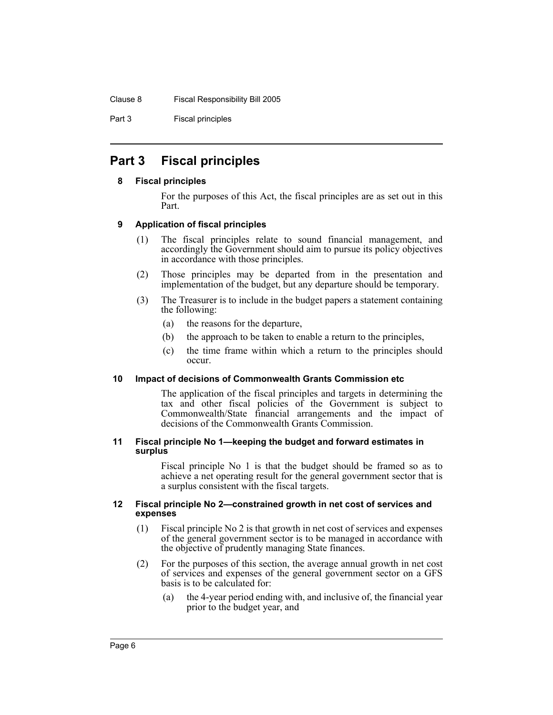Part 3 Fiscal principles

## **Part 3 Fiscal principles**

#### **8 Fiscal principles**

For the purposes of this Act, the fiscal principles are as set out in this Part.

#### **9 Application of fiscal principles**

- (1) The fiscal principles relate to sound financial management, and accordingly the Government should aim to pursue its policy objectives in accordance with those principles.
- (2) Those principles may be departed from in the presentation and implementation of the budget, but any departure should be temporary.
- (3) The Treasurer is to include in the budget papers a statement containing the following:
	- (a) the reasons for the departure,
	- (b) the approach to be taken to enable a return to the principles,
	- (c) the time frame within which a return to the principles should occur.

#### **10 Impact of decisions of Commonwealth Grants Commission etc**

The application of the fiscal principles and targets in determining the tax and other fiscal policies of the Government is subject to Commonwealth/State financial arrangements and the impact of decisions of the Commonwealth Grants Commission.

#### **11 Fiscal principle No 1—keeping the budget and forward estimates in surplus**

Fiscal principle No 1 is that the budget should be framed so as to achieve a net operating result for the general government sector that is a surplus consistent with the fiscal targets.

#### **12 Fiscal principle No 2—constrained growth in net cost of services and expenses**

- (1) Fiscal principle No 2 is that growth in net cost of services and expenses of the general government sector is to be managed in accordance with the objective of prudently managing State finances.
- (2) For the purposes of this section, the average annual growth in net cost of services and expenses of the general government sector on a GFS basis is to be calculated for:
	- (a) the 4-year period ending with, and inclusive of, the financial year prior to the budget year, and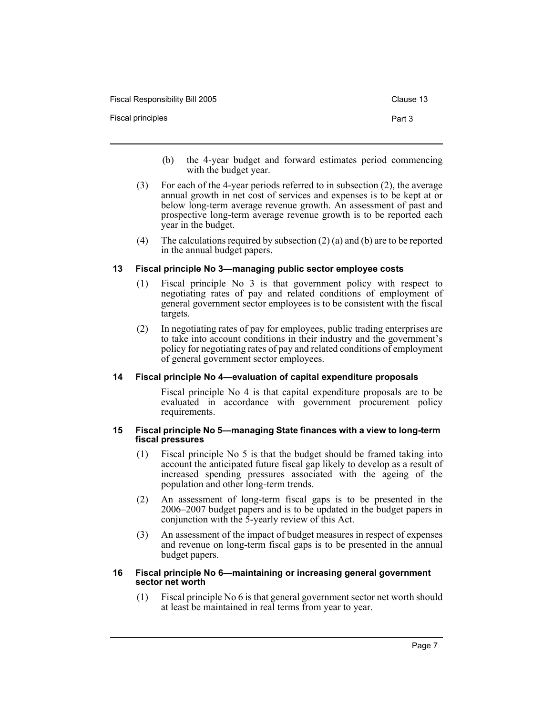| Fiscal Responsibility Bill 2005 | Clause 13 |
|---------------------------------|-----------|
| Fiscal principles               | Part 3    |

- (b) the 4-year budget and forward estimates period commencing with the budget year.
- (3) For each of the 4-year periods referred to in subsection (2), the average annual growth in net cost of services and expenses is to be kept at or below long-term average revenue growth. An assessment of past and prospective long-term average revenue growth is to be reported each year in the budget.
- (4) The calculations required by subsection (2) (a) and (b) are to be reported in the annual budget papers.

#### **13 Fiscal principle No 3—managing public sector employee costs**

- (1) Fiscal principle No 3 is that government policy with respect to negotiating rates of pay and related conditions of employment of general government sector employees is to be consistent with the fiscal targets.
- (2) In negotiating rates of pay for employees, public trading enterprises are to take into account conditions in their industry and the government's policy for negotiating rates of pay and related conditions of employment of general government sector employees.

#### **14 Fiscal principle No 4—evaluation of capital expenditure proposals**

Fiscal principle No 4 is that capital expenditure proposals are to be evaluated in accordance with government procurement policy requirements.

#### **15 Fiscal principle No 5—managing State finances with a view to long-term fiscal pressures**

- (1) Fiscal principle No 5 is that the budget should be framed taking into account the anticipated future fiscal gap likely to develop as a result of increased spending pressures associated with the ageing of the population and other long-term trends.
- (2) An assessment of long-term fiscal gaps is to be presented in the 2006–2007 budget papers and is to be updated in the budget papers in conjunction with the 5-yearly review of this Act.
- (3) An assessment of the impact of budget measures in respect of expenses and revenue on long-term fiscal gaps is to be presented in the annual budget papers.

#### **16 Fiscal principle No 6—maintaining or increasing general government sector net worth**

(1) Fiscal principle No 6 is that general government sector net worth should at least be maintained in real terms from year to year.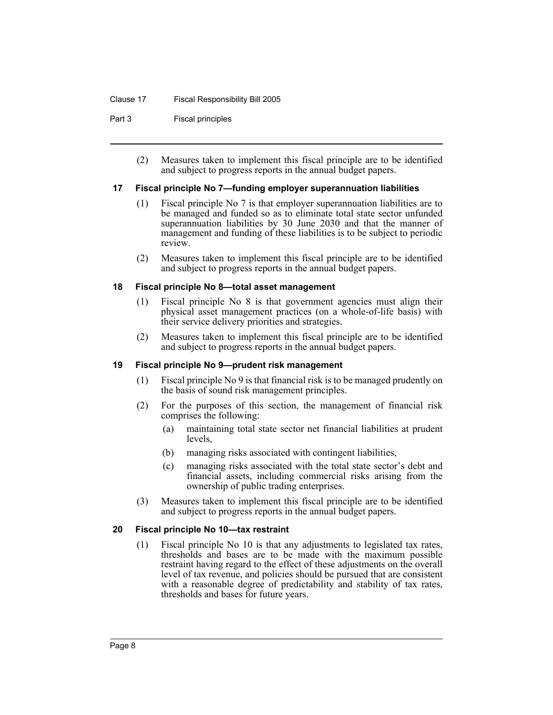Part 3 Fiscal principles

(2) Measures taken to implement this fiscal principle are to be identified and subject to progress reports in the annual budget papers.

#### **17 Fiscal principle No 7—funding employer superannuation liabilities**

- (1) Fiscal principle No 7 is that employer superannuation liabilities are to be managed and funded so as to eliminate total state sector unfunded superannuation liabilities by 30 June 2030 and that the manner of management and funding of these liabilities is to be subject to periodic review.
- (2) Measures taken to implement this fiscal principle are to be identified and subject to progress reports in the annual budget papers.

#### **18 Fiscal principle No 8—total asset management**

- (1) Fiscal principle No 8 is that government agencies must align their physical asset management practices (on a whole-of-life basis) with their service delivery priorities and strategies.
- (2) Measures taken to implement this fiscal principle are to be identified and subject to progress reports in the annual budget papers.

#### **19 Fiscal principle No 9—prudent risk management**

- (1) Fiscal principle No 9 is that financial risk is to be managed prudently on the basis of sound risk management principles.
- (2) For the purposes of this section, the management of financial risk comprises the following:
	- (a) maintaining total state sector net financial liabilities at prudent levels,
	- (b) managing risks associated with contingent liabilities,
	- (c) managing risks associated with the total state sector's debt and financial assets, including commercial risks arising from the ownership of public trading enterprises.
- (3) Measures taken to implement this fiscal principle are to be identified and subject to progress reports in the annual budget papers.

#### **20 Fiscal principle No 10—tax restraint**

(1) Fiscal principle No 10 is that any adjustments to legislated tax rates, thresholds and bases are to be made with the maximum possible restraint having regard to the effect of these adjustments on the overall level of tax revenue, and policies should be pursued that are consistent with a reasonable degree of predictability and stability of tax rates, thresholds and bases for future years.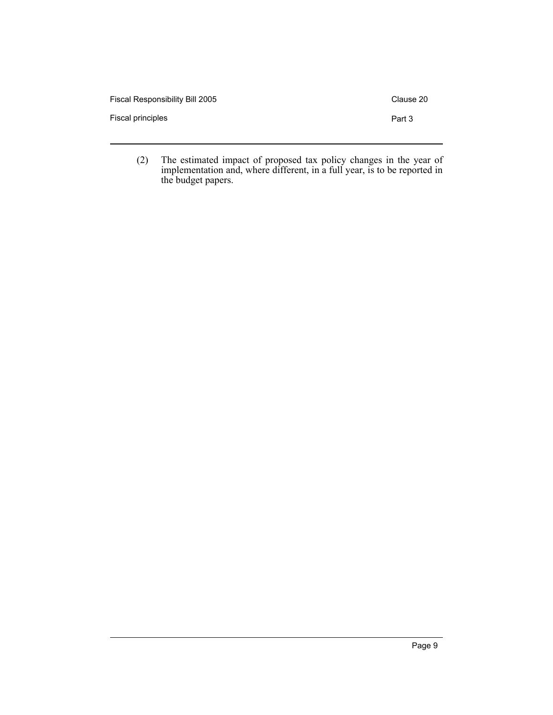| Fiscal Responsibility Bill 2005 | Clause 20 |
|---------------------------------|-----------|
| Fiscal principles               | Part 3    |
|                                 |           |

(2) The estimated impact of proposed tax policy changes in the year of implementation and, where different, in a full year, is to be reported in the budget papers.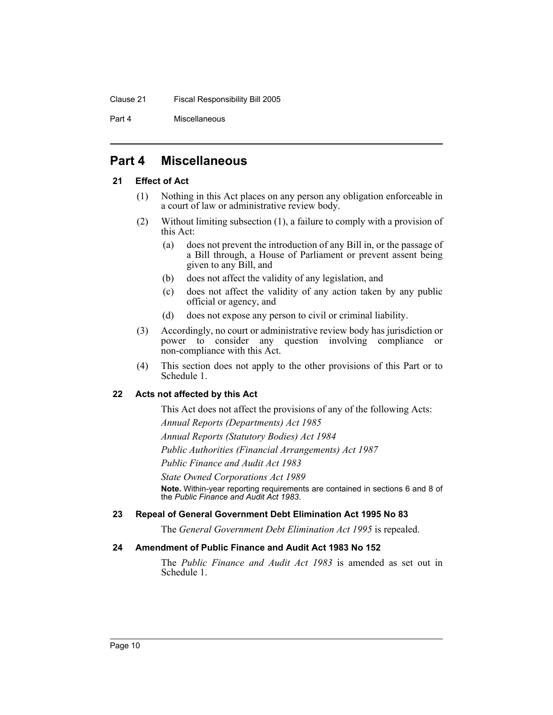Part 4 Miscellaneous

## **Part 4 Miscellaneous**

#### **21 Effect of Act**

- (1) Nothing in this Act places on any person any obligation enforceable in a court of law or administrative review body.
- (2) Without limiting subsection (1), a failure to comply with a provision of this Act:
	- (a) does not prevent the introduction of any Bill in, or the passage of a Bill through, a House of Parliament or prevent assent being given to any Bill, and
	- (b) does not affect the validity of any legislation, and
	- (c) does not affect the validity of any action taken by any public official or agency, and
	- (d) does not expose any person to civil or criminal liability.
- (3) Accordingly, no court or administrative review body has jurisdiction or power to consider any question involving compliance or non-compliance with this Act.
- (4) This section does not apply to the other provisions of this Part or to Schedule 1.

#### **22 Acts not affected by this Act**

This Act does not affect the provisions of any of the following Acts:

*Annual Reports (Departments) Act 1985*

*Annual Reports (Statutory Bodies) Act 1984*

*Public Authorities (Financial Arrangements) Act 1987*

*Public Finance and Audit Act 1983*

*State Owned Corporations Act 1989*

**Note.** Within-year reporting requirements are contained in sections 6 and 8 of the *Public Finance and Audit Act 1983*.

#### **23 Repeal of General Government Debt Elimination Act 1995 No 83**

The *General Government Debt Elimination Act 1995* is repealed.

#### **24 Amendment of Public Finance and Audit Act 1983 No 152**

The *Public Finance and Audit Act 1983* is amended as set out in Schedule 1.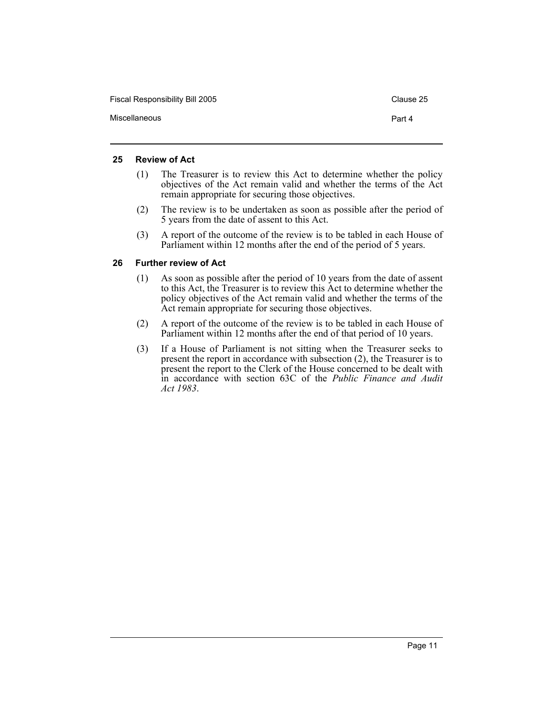Fiscal Responsibility Bill 2005 Clause 25 Miscellaneous Part 4

#### **25 Review of Act**

- (1) The Treasurer is to review this Act to determine whether the policy objectives of the Act remain valid and whether the terms of the Act remain appropriate for securing those objectives.
- (2) The review is to be undertaken as soon as possible after the period of 5 years from the date of assent to this Act.
- (3) A report of the outcome of the review is to be tabled in each House of Parliament within 12 months after the end of the period of 5 years.

#### **26 Further review of Act**

- (1) As soon as possible after the period of 10 years from the date of assent to this Act, the Treasurer is to review this Act to determine whether the policy objectives of the Act remain valid and whether the terms of the Act remain appropriate for securing those objectives.
- (2) A report of the outcome of the review is to be tabled in each House of Parliament within 12 months after the end of that period of 10 years.
- (3) If a House of Parliament is not sitting when the Treasurer seeks to present the report in accordance with subsection (2), the Treasurer is to present the report to the Clerk of the House concerned to be dealt with in accordance with section 63C of the *Public Finance and Audit Act 1983*.